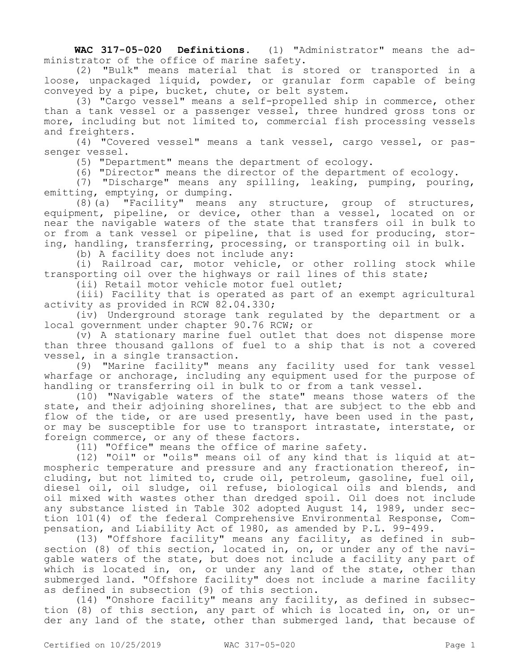**WAC 317-05-020 Definitions.** (1) "Administrator" means the administrator of the office of marine safety.

(2) "Bulk" means material that is stored or transported in a loose, unpackaged liquid, powder, or granular form capable of being conveyed by a pipe, bucket, chute, or belt system.

(3) "Cargo vessel" means a self-propelled ship in commerce, other than a tank vessel or a passenger vessel, three hundred gross tons or more, including but not limited to, commercial fish processing vessels and freighters.

(4) "Covered vessel" means a tank vessel, cargo vessel, or passenger vessel.

(5) "Department" means the department of ecology.

(6) "Director" means the director of the department of ecology.

(7) "Discharge" means any spilling, leaking, pumping, pouring, emitting, emptying, or dumping.

 $(8)$  (a) "Facility" means any structure, group of structures, equipment, pipeline, or device, other than a vessel, located on or near the navigable waters of the state that transfers oil in bulk to or from a tank vessel or pipeline, that is used for producing, storing, handling, transferring, processing, or transporting oil in bulk.

(b) A facility does not include any:

(i) Railroad car, motor vehicle, or other rolling stock while transporting oil over the highways or rail lines of this state;

(ii) Retail motor vehicle motor fuel outlet;

(iii) Facility that is operated as part of an exempt agricultural activity as provided in RCW 82.04.330;

(iv) Underground storage tank regulated by the department or a local government under chapter 90.76 RCW; or

(v) A stationary marine fuel outlet that does not dispense more than three thousand gallons of fuel to a ship that is not a covered vessel, in a single transaction.

(9) "Marine facility" means any facility used for tank vessel wharfage or anchorage, including any equipment used for the purpose of handling or transferring oil in bulk to or from a tank vessel.

(10) "Navigable waters of the state" means those waters of the state, and their adjoining shorelines, that are subject to the ebb and flow of the tide, or are used presently, have been used in the past, or may be susceptible for use to transport intrastate, interstate, or foreign commerce, or any of these factors.

(11) "Office" means the office of marine safety.

(12) "Oil" or "oils" means oil of any kind that is liquid at atmospheric temperature and pressure and any fractionation thereof, including, but not limited to, crude oil, petroleum, gasoline, fuel oil, diesel oil, oil sludge, oil refuse, biological oils and blends, and oil mixed with wastes other than dredged spoil. Oil does not include any substance listed in Table 302 adopted August 14, 1989, under section 101(4) of the federal Comprehensive Environmental Response, Compensation, and Liability Act of 1980, as amended by P.L. 99-499.

(13) "Offshore facility" means any facility, as defined in subsection (8) of this section, located in, on, or under any of the navigable waters of the state, but does not include a facility any part of which is located in, on, or under any land of the state, other than submerged land. "Offshore facility" does not include a marine facility as defined in subsection (9) of this section.

(14) "Onshore facility" means any facility, as defined in subsection (8) of this section, any part of which is located in, on, or under any land of the state, other than submerged land, that because of